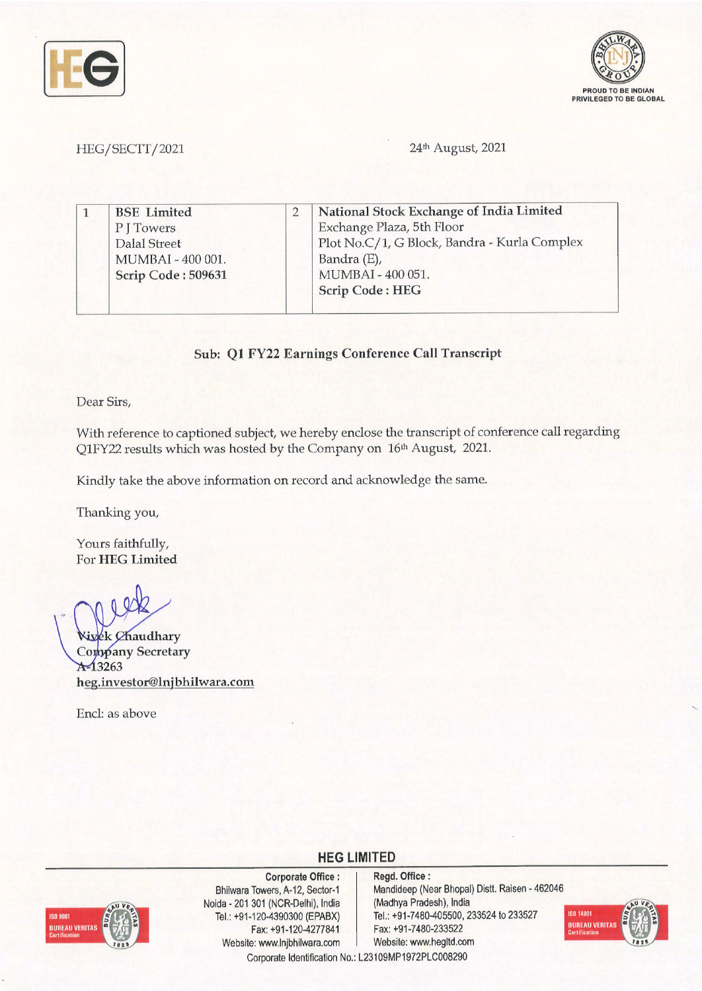



## HEG/SECTT/2021

### 24<sup>th</sup> August, 2021

| <b>BSE</b> Limited | National Stock Exchange of India Limited     |
|--------------------|----------------------------------------------|
| PITowers           | Exchange Plaza, 5th Floor                    |
| Dalal Street       | Plot No.C/1, G Block, Bandra - Kurla Complex |
| MUMBAI - 400 001.  | Bandra (E),                                  |
| Scrip Code: 509631 | MUMBAI - 400 051.                            |
|                    | <b>Scrip Code: HEG</b>                       |

### **Sub: Ql FY22 Earnings Conference Call Transcript**

Dear Sirs,

With reference to captioned subject, we hereby enclose the transcript of conference call regarding Q1FY22 results which was hosted by the Company on 16<sup>th</sup> August, 2021.

Kindly take the above information on record and acknowledge the same.

Thanking you,

Yours faithfully, For **HEG Limited** 

**Wivek Chaudhary** Company Secretary  $A - 13263$ **heg.investor@lnjbhilwara.com** 

Encl: as above



**Corporate Office** : Bhilwara Towers, A-12, Sector-1 Naida - 201 301 (NCR-Delhi), India Tel.: +91-120-4390300 (EPABX) Fax: +91-120-4277841 Website: www.lnjbhilwara.com | Website: www.hegltd.com

**Regd. Office** : Mandideep (Near Bhopal) Distt. Raisen - 462046 (Madhya Pradesh), India Tel.: +91-7480-405500, 233524 to 233527 Fax: +91-7480-233522



Corporate Identification No.: L23109MP1972PLC008290

**HEG LIMITED**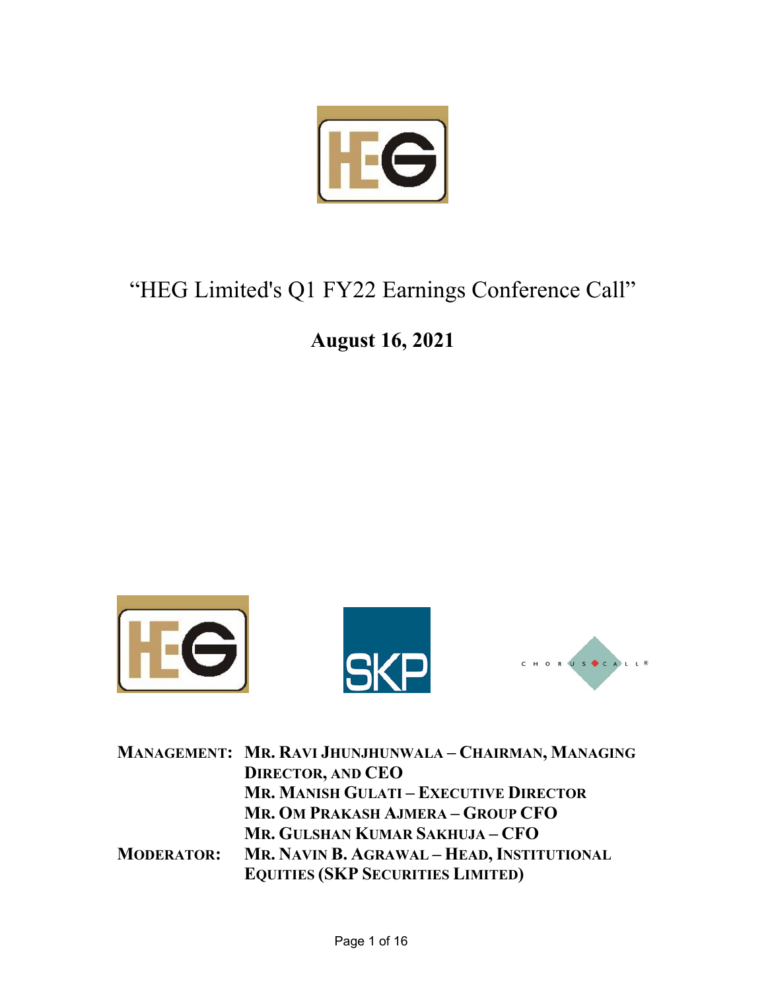

# "HEG Limited's Q1 FY22 Earnings Conference Call"

## **August 16, 2021**



|                   | MANAGEMENT: MR. RAVI JHUNJHUNWALA - CHAIRMAN, MANAGING |
|-------------------|--------------------------------------------------------|
|                   | <b>DIRECTOR, AND CEO</b>                               |
|                   | <b>MR. MANISH GULATI - EXECUTIVE DIRECTOR</b>          |
|                   | MR. OM PRAKASH AJMERA - GROUP CFO                      |
|                   | MR. GULSHAN KUMAR SAKHUJA - CFO                        |
| <b>MODERATOR:</b> | MR. NAVIN B. AGRAWAL - HEAD, INSTITUTIONAL             |
|                   | <b>EQUITIES (SKP SECURITIES LIMITED)</b>               |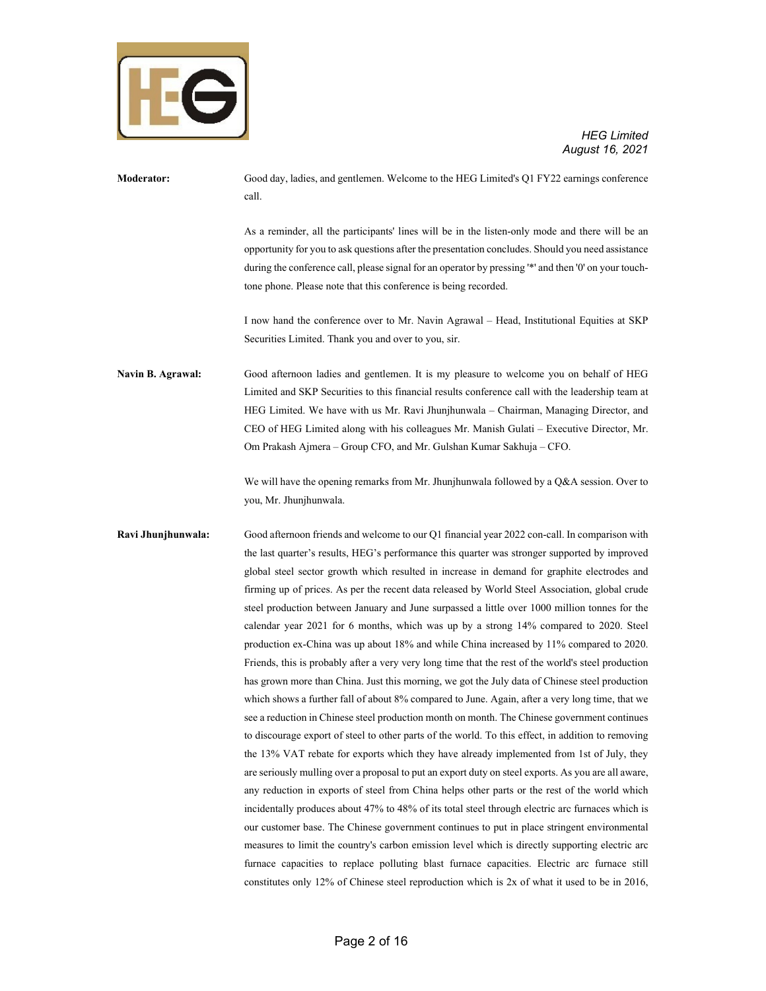

| Moderator:         | Good day, ladies, and gentlemen. Welcome to the HEG Limited's Q1 FY22 earnings conference<br>call.                                                                                                                                                                                                                                                                                                                                                                                                                                                                                                                                                                                                                                                                                                                                                                                                                                                                                                                                                                                                                                                                                                                                                                                                                                                                                                                                                                                                                                                                                                                                                                                                                                                                                                                                                                                                                                                                                                                 |
|--------------------|--------------------------------------------------------------------------------------------------------------------------------------------------------------------------------------------------------------------------------------------------------------------------------------------------------------------------------------------------------------------------------------------------------------------------------------------------------------------------------------------------------------------------------------------------------------------------------------------------------------------------------------------------------------------------------------------------------------------------------------------------------------------------------------------------------------------------------------------------------------------------------------------------------------------------------------------------------------------------------------------------------------------------------------------------------------------------------------------------------------------------------------------------------------------------------------------------------------------------------------------------------------------------------------------------------------------------------------------------------------------------------------------------------------------------------------------------------------------------------------------------------------------------------------------------------------------------------------------------------------------------------------------------------------------------------------------------------------------------------------------------------------------------------------------------------------------------------------------------------------------------------------------------------------------------------------------------------------------------------------------------------------------|
|                    | As a reminder, all the participants' lines will be in the listen-only mode and there will be an<br>opportunity for you to ask questions after the presentation concludes. Should you need assistance<br>during the conference call, please signal for an operator by pressing "*" and then '0' on your touch-<br>tone phone. Please note that this conference is being recorded.                                                                                                                                                                                                                                                                                                                                                                                                                                                                                                                                                                                                                                                                                                                                                                                                                                                                                                                                                                                                                                                                                                                                                                                                                                                                                                                                                                                                                                                                                                                                                                                                                                   |
|                    | I now hand the conference over to Mr. Navin Agrawal – Head, Institutional Equities at SKP<br>Securities Limited. Thank you and over to you, sir.                                                                                                                                                                                                                                                                                                                                                                                                                                                                                                                                                                                                                                                                                                                                                                                                                                                                                                                                                                                                                                                                                                                                                                                                                                                                                                                                                                                                                                                                                                                                                                                                                                                                                                                                                                                                                                                                   |
| Navin B. Agrawal:  | Good afternoon ladies and gentlemen. It is my pleasure to welcome you on behalf of HEG<br>Limited and SKP Securities to this financial results conference call with the leadership team at<br>HEG Limited. We have with us Mr. Ravi Jhunjhunwala – Chairman, Managing Director, and<br>CEO of HEG Limited along with his colleagues Mr. Manish Gulati – Executive Director, Mr.<br>Om Prakash Ajmera – Group CFO, and Mr. Gulshan Kumar Sakhuja – CFO.                                                                                                                                                                                                                                                                                                                                                                                                                                                                                                                                                                                                                                                                                                                                                                                                                                                                                                                                                                                                                                                                                                                                                                                                                                                                                                                                                                                                                                                                                                                                                             |
|                    | We will have the opening remarks from Mr. Jhunjhunwala followed by a $Q\&A$ session. Over to<br>you, Mr. Jhunjhunwala.                                                                                                                                                                                                                                                                                                                                                                                                                                                                                                                                                                                                                                                                                                                                                                                                                                                                                                                                                                                                                                                                                                                                                                                                                                                                                                                                                                                                                                                                                                                                                                                                                                                                                                                                                                                                                                                                                             |
| Ravi Jhunjhunwala: | Good afternoon friends and welcome to our Q1 financial year 2022 con-call. In comparison with<br>the last quarter's results, HEG's performance this quarter was stronger supported by improved<br>global steel sector growth which resulted in increase in demand for graphite electrodes and<br>firming up of prices. As per the recent data released by World Steel Association, global crude<br>steel production between January and June surpassed a little over 1000 million tonnes for the<br>calendar year 2021 for 6 months, which was up by a strong 14% compared to 2020. Steel<br>production ex-China was up about 18% and while China increased by 11% compared to 2020.<br>Friends, this is probably after a very very long time that the rest of the world's steel production<br>has grown more than China. Just this morning, we got the July data of Chinese steel production<br>which shows a further fall of about 8% compared to June. Again, after a very long time, that we<br>see a reduction in Chinese steel production month on month. The Chinese government continues<br>to discourage export of steel to other parts of the world. To this effect, in addition to removing<br>the 13% VAT rebate for exports which they have already implemented from 1st of July, they<br>are seriously mulling over a proposal to put an export duty on steel exports. As you are all aware,<br>any reduction in exports of steel from China helps other parts or the rest of the world which<br>incidentally produces about 47% to 48% of its total steel through electric arc furnaces which is<br>our customer base. The Chinese government continues to put in place stringent environmental<br>measures to limit the country's carbon emission level which is directly supporting electric arc<br>furnace capacities to replace polluting blast furnace capacities. Electric arc furnace still<br>constitutes only 12% of Chinese steel reproduction which is 2x of what it used to be in 2016, |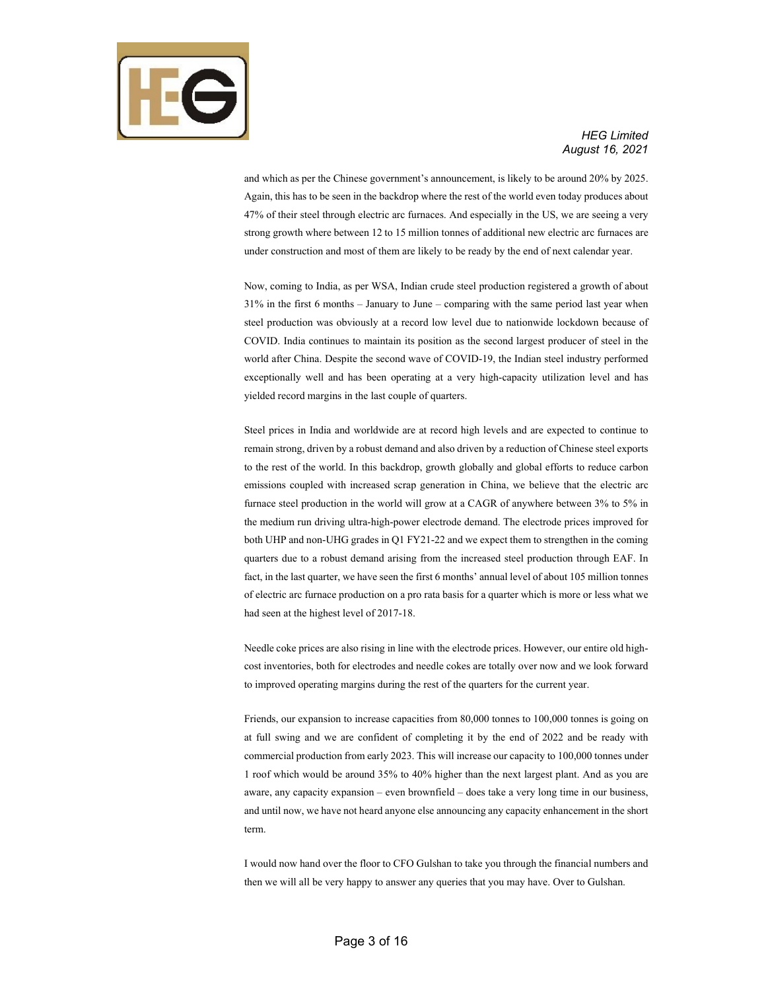

and which as per the Chinese government's announcement, is likely to be around 20% by 2025. Again, this has to be seen in the backdrop where the rest of the world even today produces about 47% of their steel through electric arc furnaces. And especially in the US, we are seeing a very strong growth where between 12 to 15 million tonnes of additional new electric arc furnaces are under construction and most of them are likely to be ready by the end of next calendar year.

Now, coming to India, as per WSA, Indian crude steel production registered a growth of about 31% in the first 6 months – January to June – comparing with the same period last year when steel production was obviously at a record low level due to nationwide lockdown because of COVID. India continues to maintain its position as the second largest producer of steel in the world after China. Despite the second wave of COVID-19, the Indian steel industry performed exceptionally well and has been operating at a very high-capacity utilization level and has yielded record margins in the last couple of quarters.

Steel prices in India and worldwide are at record high levels and are expected to continue to remain strong, driven by a robust demand and also driven by a reduction of Chinese steel exports to the rest of the world. In this backdrop, growth globally and global efforts to reduce carbon emissions coupled with increased scrap generation in China, we believe that the electric arc furnace steel production in the world will grow at a CAGR of anywhere between 3% to 5% in the medium run driving ultra-high-power electrode demand. The electrode prices improved for both UHP and non-UHG grades in Q1 FY21-22 and we expect them to strengthen in the coming quarters due to a robust demand arising from the increased steel production through EAF. In fact, in the last quarter, we have seen the first 6 months' annual level of about 105 million tonnes of electric arc furnace production on a pro rata basis for a quarter which is more or less what we had seen at the highest level of 2017-18.

Needle coke prices are also rising in line with the electrode prices. However, our entire old highcost inventories, both for electrodes and needle cokes are totally over now and we look forward to improved operating margins during the rest of the quarters for the current year.

Friends, our expansion to increase capacities from 80,000 tonnes to 100,000 tonnes is going on at full swing and we are confident of completing it by the end of 2022 and be ready with commercial production from early 2023. This will increase our capacity to 100,000 tonnes under 1 roof which would be around 35% to 40% higher than the next largest plant. And as you are aware, any capacity expansion – even brownfield – does take a very long time in our business, and until now, we have not heard anyone else announcing any capacity enhancement in the short term.

I would now hand over the floor to CFO Gulshan to take you through the financial numbers and then we will all be very happy to answer any queries that you may have. Over to Gulshan.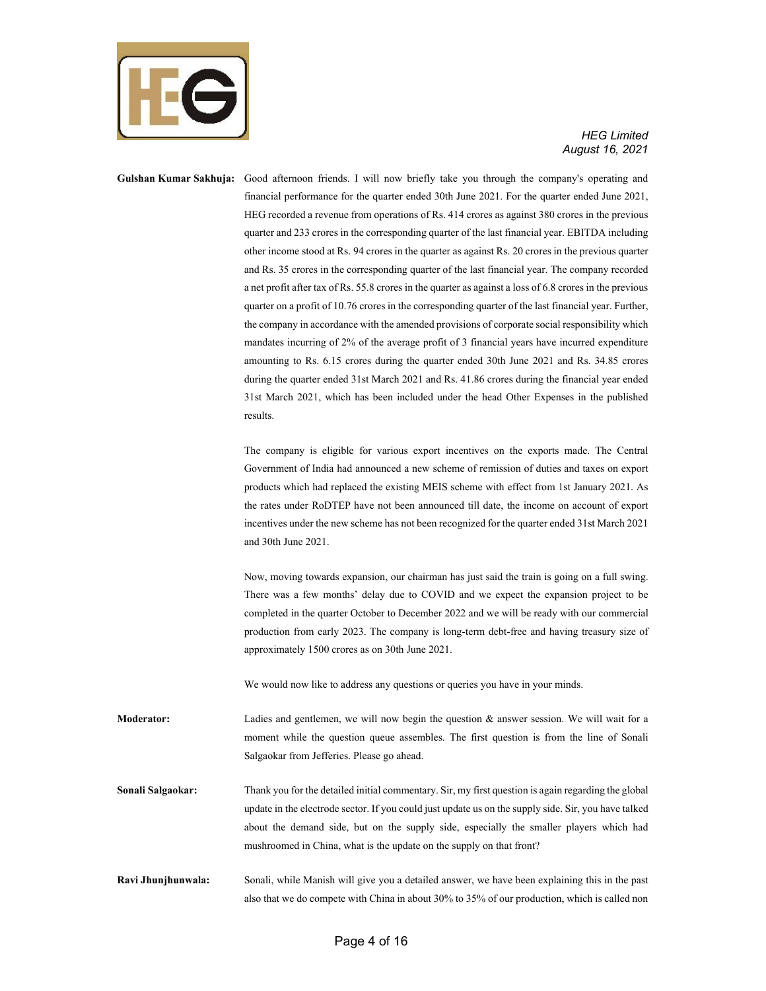

**Gulshan Kumar Sakhuja:** Good afternoon friends. I will now briefly take you through the company's operating and financial performance for the quarter ended 30th June 2021. For the quarter ended June 2021, HEG recorded a revenue from operations of Rs. 414 crores as against 380 crores in the previous quarter and 233 crores in the corresponding quarter of the last financial year. EBITDA including other income stood at Rs. 94 crores in the quarter as against Rs. 20 crores in the previous quarter and Rs. 35 crores in the corresponding quarter of the last financial year. The company recorded a net profit after tax of Rs. 55.8 crores in the quarter as against a loss of 6.8 crores in the previous quarter on a profit of 10.76 crores in the corresponding quarter of the last financial year. Further, the company in accordance with the amended provisions of corporate social responsibility which mandates incurring of 2% of the average profit of 3 financial years have incurred expenditure amounting to Rs. 6.15 crores during the quarter ended 30th June 2021 and Rs. 34.85 crores during the quarter ended 31st March 2021 and Rs. 41.86 crores during the financial year ended 31st March 2021, which has been included under the head Other Expenses in the published results.

> The company is eligible for various export incentives on the exports made. The Central Government of India had announced a new scheme of remission of duties and taxes on export products which had replaced the existing MEIS scheme with effect from 1st January 2021. As the rates under RoDTEP have not been announced till date, the income on account of export incentives under the new scheme has not been recognized for the quarter ended 31st March 2021 and 30th June 2021.

> Now, moving towards expansion, our chairman has just said the train is going on a full swing. There was a few months' delay due to COVID and we expect the expansion project to be completed in the quarter October to December 2022 and we will be ready with our commercial production from early 2023. The company is long-term debt-free and having treasury size of approximately 1500 crores as on 30th June 2021.

We would now like to address any questions or queries you have in your minds.

**Moderator:** Ladies and gentlemen, we will now begin the question & answer session. We will wait for a moment while the question queue assembles. The first question is from the line of Sonali Salgaokar from Jefferies. Please go ahead.

**Sonali Salgaokar:** Thank you for the detailed initial commentary. Sir, my first question is again regarding the global update in the electrode sector. If you could just update us on the supply side. Sir, you have talked about the demand side, but on the supply side, especially the smaller players which had mushroomed in China, what is the update on the supply on that front?

**Ravi Jhunjhunwala:** Sonali, while Manish will give you a detailed answer, we have been explaining this in the past also that we do compete with China in about 30% to 35% of our production, which is called non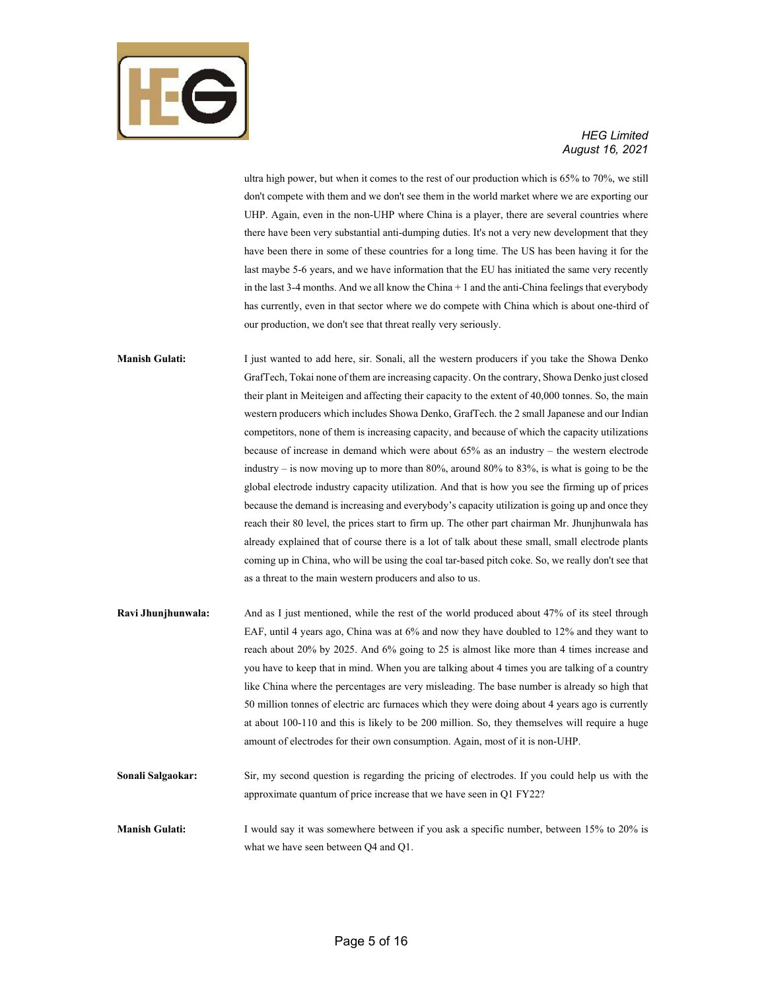

ultra high power, but when it comes to the rest of our production which is 65% to 70%, we still don't compete with them and we don't see them in the world market where we are exporting our UHP. Again, even in the non-UHP where China is a player, there are several countries where there have been very substantial anti-dumping duties. It's not a very new development that they have been there in some of these countries for a long time. The US has been having it for the last maybe 5-6 years, and we have information that the EU has initiated the same very recently in the last  $3-4$  months. And we all know the China  $+1$  and the anti-China feelings that everybody has currently, even in that sector where we do compete with China which is about one-third of our production, we don't see that threat really very seriously.

**Manish Gulati:** I just wanted to add here, sir. Sonali, all the western producers if you take the Showa Denko GrafTech, Tokai none of them are increasing capacity. On the contrary, Showa Denko just closed their plant in Meiteigen and affecting their capacity to the extent of 40,000 tonnes. So, the main western producers which includes Showa Denko, GrafTech. the 2 small Japanese and our Indian competitors, none of them is increasing capacity, and because of which the capacity utilizations because of increase in demand which were about 65% as an industry – the western electrode industry – is now moving up to more than 80%, around 80% to 83%, is what is going to be the global electrode industry capacity utilization. And that is how you see the firming up of prices because the demand is increasing and everybody's capacity utilization is going up and once they reach their 80 level, the prices start to firm up. The other part chairman Mr. Jhunjhunwala has already explained that of course there is a lot of talk about these small, small electrode plants coming up in China, who will be using the coal tar-based pitch coke. So, we really don't see that as a threat to the main western producers and also to us.

- **Ravi Jhunjhunwala:** And as I just mentioned, while the rest of the world produced about 47% of its steel through EAF, until 4 years ago, China was at 6% and now they have doubled to 12% and they want to reach about 20% by 2025. And 6% going to 25 is almost like more than 4 times increase and you have to keep that in mind. When you are talking about 4 times you are talking of a country like China where the percentages are very misleading. The base number is already so high that 50 million tonnes of electric arc furnaces which they were doing about 4 years ago is currently at about 100-110 and this is likely to be 200 million. So, they themselves will require a huge amount of electrodes for their own consumption. Again, most of it is non-UHP.
- **Sonali Salgaokar:** Sir, my second question is regarding the pricing of electrodes. If you could help us with the approximate quantum of price increase that we have seen in Q1 FY22?
- **Manish Gulati:** I would say it was somewhere between if you ask a specific number, between 15% to 20% is what we have seen between Q4 and Q1.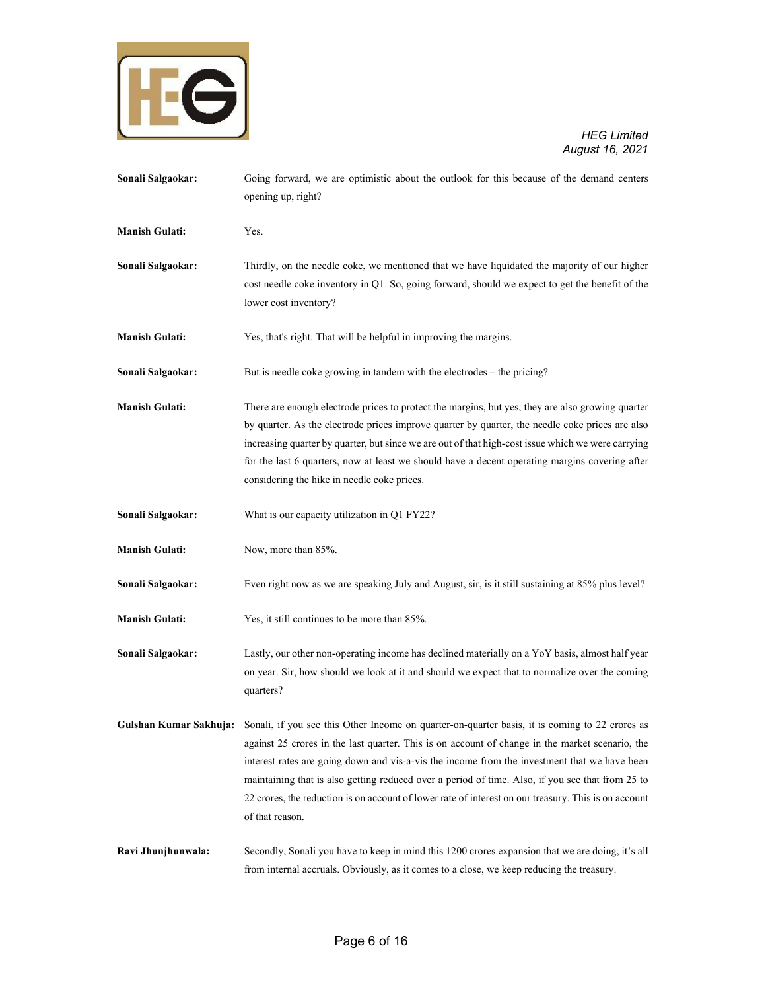

**Sonali Salgaokar:** Going forward, we are optimistic about the outlook for this because of the demand centers opening up, right? **Manish Gulati:** Yes. **Sonali Salgaokar:** Thirdly, on the needle coke, we mentioned that we have liquidated the majority of our higher cost needle coke inventory in Q1. So, going forward, should we expect to get the benefit of the lower cost inventory? **Manish Gulati:** Yes, that's right. That will be helpful in improving the margins. **Sonali Salgaokar:** But is needle coke growing in tandem with the electrodes – the pricing? **Manish Gulati:** There are enough electrode prices to protect the margins, but yes, they are also growing quarter by quarter. As the electrode prices improve quarter by quarter, the needle coke prices are also increasing quarter by quarter, but since we are out of that high-cost issue which we were carrying for the last 6 quarters, now at least we should have a decent operating margins covering after considering the hike in needle coke prices. **Sonali Salgaokar:** What is our capacity utilization in Q1 FY22? **Manish Gulati:** Now, more than 85%. **Sonali Salgaokar:** Even right now as we are speaking July and August, sir, is it still sustaining at 85% plus level? **Manish Gulati:** Yes, it still continues to be more than 85%. **Sonali Salgaokar:** Lastly, our other non-operating income has declined materially on a YoY basis, almost half year on year. Sir, how should we look at it and should we expect that to normalize over the coming quarters? **Gulshan Kumar Sakhuja:** Sonali, if you see this Other Income on quarter-on-quarter basis, it is coming to 22 crores as against 25 crores in the last quarter. This is on account of change in the market scenario, the interest rates are going down and vis-a-vis the income from the investment that we have been maintaining that is also getting reduced over a period of time. Also, if you see that from 25 to 22 crores, the reduction is on account of lower rate of interest on our treasury. This is on account of that reason. **Ravi Jhunjhunwala:** Secondly, Sonali you have to keep in mind this 1200 crores expansion that we are doing, it's all from internal accruals. Obviously, as it comes to a close, we keep reducing the treasury.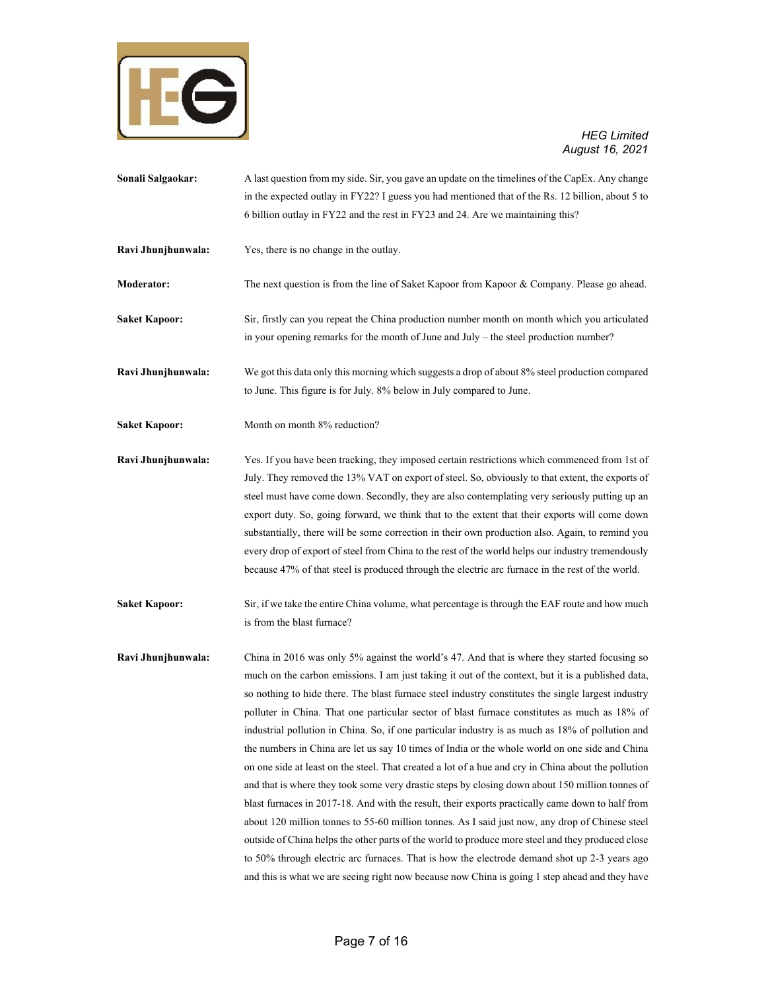

- **Sonali Salgaokar:** A last question from my side. Sir, you gave an update on the timelines of the CapEx. Any change in the expected outlay in FY22? I guess you had mentioned that of the Rs. 12 billion, about 5 to 6 billion outlay in FY22 and the rest in FY23 and 24. Are we maintaining this?
- **Ravi Jhunjhunwala:** Yes, there is no change in the outlay.
- **Moderator:** The next question is from the line of Saket Kapoor from Kapoor & Company. Please go ahead.
- **Saket Kapoor:** Sir, firstly can you repeat the China production number month on month which you articulated in your opening remarks for the month of June and July – the steel production number?
- **Ravi Jhunjhunwala:** We got this data only this morning which suggests a drop of about 8% steel production compared to June. This figure is for July. 8% below in July compared to June.
- Saket Kapoor: Month on month 8% reduction?
- **Ravi Jhunjhunwala:** Yes. If you have been tracking, they imposed certain restrictions which commenced from 1st of July. They removed the 13% VAT on export of steel. So, obviously to that extent, the exports of steel must have come down. Secondly, they are also contemplating very seriously putting up an export duty. So, going forward, we think that to the extent that their exports will come down substantially, there will be some correction in their own production also. Again, to remind you every drop of export of steel from China to the rest of the world helps our industry tremendously because 47% of that steel is produced through the electric arc furnace in the rest of the world.
- **Saket Kapoor:** Sir, if we take the entire China volume, what percentage is through the EAF route and how much is from the blast furnace?
- **Ravi Jhunjhunwala:** China in 2016 was only 5% against the world's 47. And that is where they started focusing so much on the carbon emissions. I am just taking it out of the context, but it is a published data, so nothing to hide there. The blast furnace steel industry constitutes the single largest industry polluter in China. That one particular sector of blast furnace constitutes as much as 18% of industrial pollution in China. So, if one particular industry is as much as 18% of pollution and the numbers in China are let us say 10 times of India or the whole world on one side and China on one side at least on the steel. That created a lot of a hue and cry in China about the pollution and that is where they took some very drastic steps by closing down about 150 million tonnes of blast furnaces in 2017-18. And with the result, their exports practically came down to half from about 120 million tonnes to 55-60 million tonnes. As I said just now, any drop of Chinese steel outside of China helps the other parts of the world to produce more steel and they produced close to 50% through electric arc furnaces. That is how the electrode demand shot up 2-3 years ago and this is what we are seeing right now because now China is going 1 step ahead and they have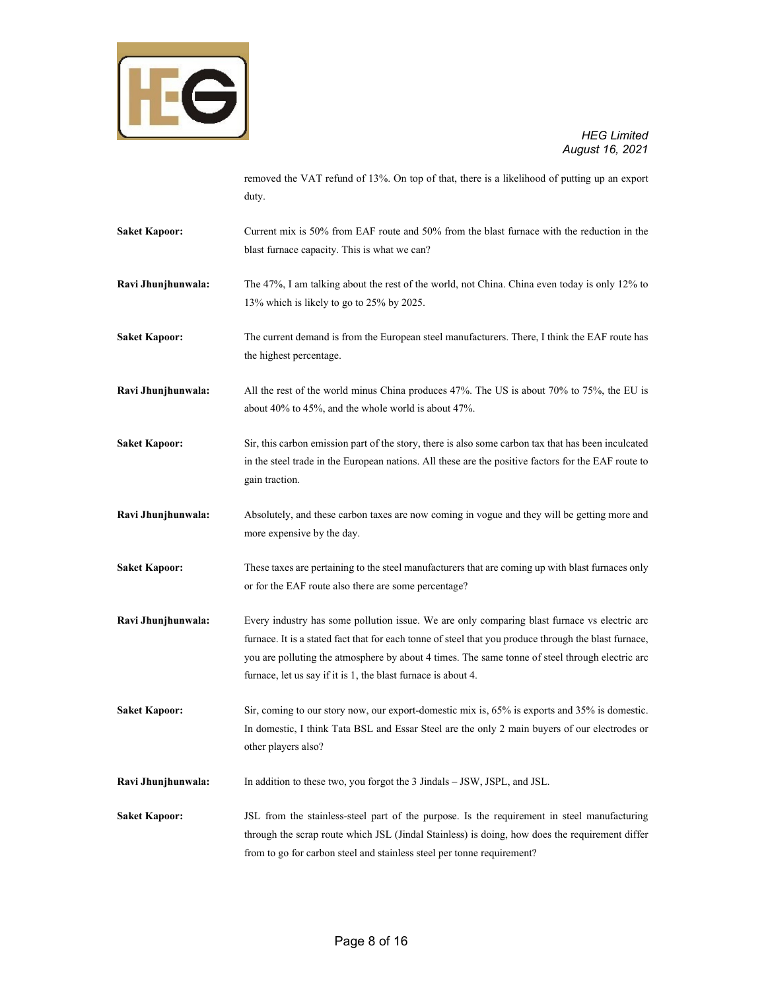

removed the VAT refund of 13%. On top of that, there is a likelihood of putting up an export duty.

- **Saket Kapoor:** Current mix is 50% from EAF route and 50% from the blast furnace with the reduction in the blast furnace capacity. This is what we can?
- **Ravi Jhunjhunwala:** The 47%, I am talking about the rest of the world, not China. China even today is only 12% to 13% which is likely to go to 25% by 2025.
- **Saket Kapoor:** The current demand is from the European steel manufacturers. There, I think the EAF route has the highest percentage.
- **Ravi Jhunjhunwala:** All the rest of the world minus China produces 47%. The US is about 70% to 75%, the EU is about 40% to 45%, and the whole world is about 47%.
- **Saket Kapoor:** Sir, this carbon emission part of the story, there is also some carbon tax that has been inculcated in the steel trade in the European nations. All these are the positive factors for the EAF route to gain traction.
- **Ravi Jhunjhunwala:** Absolutely, and these carbon taxes are now coming in vogue and they will be getting more and more expensive by the day.
- **Saket Kapoor:** These taxes are pertaining to the steel manufacturers that are coming up with blast furnaces only or for the EAF route also there are some percentage?
- **Ravi Jhunjhunwala:** Every industry has some pollution issue. We are only comparing blast furnace vs electric arc furnace. It is a stated fact that for each tonne of steel that you produce through the blast furnace, you are polluting the atmosphere by about 4 times. The same tonne of steel through electric arc furnace, let us say if it is 1, the blast furnace is about 4.
- **Saket Kapoor:** Sir, coming to our story now, our export-domestic mix is, 65% is exports and 35% is domestic. In domestic, I think Tata BSL and Essar Steel are the only 2 main buyers of our electrodes or other players also?
- **Ravi Jhunjhunwala:** In addition to these two, you forgot the 3 Jindals JSW, JSPL, and JSL.
- **Saket Kapoor:** JSL from the stainless-steel part of the purpose. Is the requirement in steel manufacturing through the scrap route which JSL (Jindal Stainless) is doing, how does the requirement differ from to go for carbon steel and stainless steel per tonne requirement?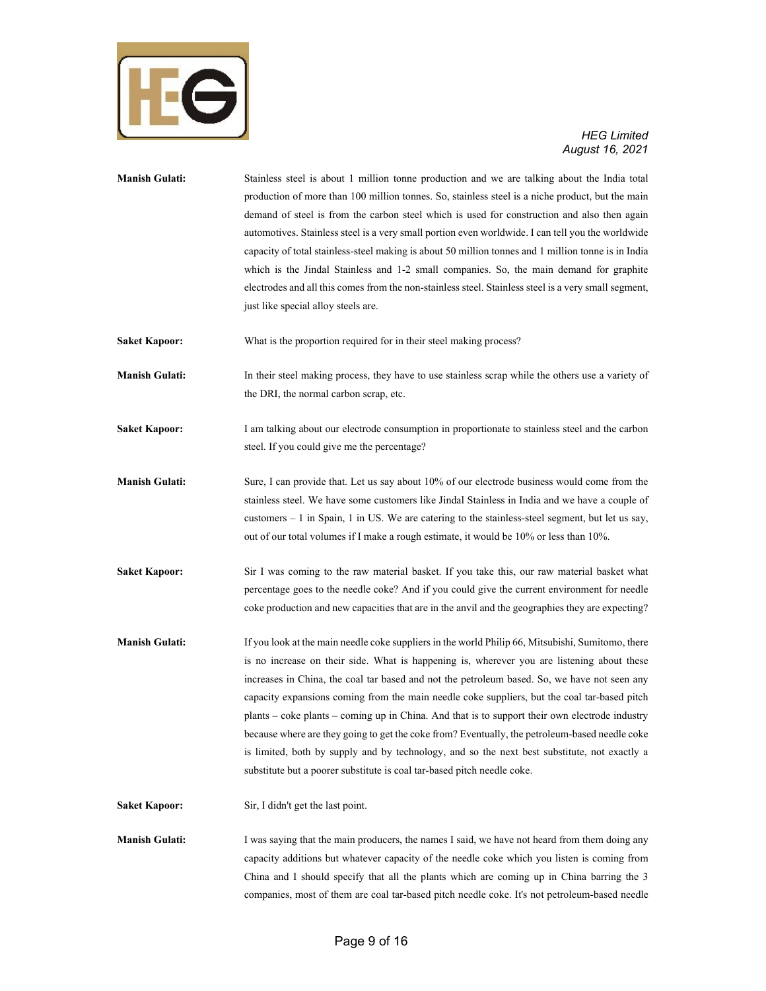

## *August 16, 2021*

| <b>Manish Gulati:</b> | Stainless steel is about 1 million tonne production and we are talking about the India total<br>production of more than 100 million tonnes. So, stainless steel is a niche product, but the main<br>demand of steel is from the carbon steel which is used for construction and also then again<br>automotives. Stainless steel is a very small portion even worldwide. I can tell you the worldwide<br>capacity of total stainless-steel making is about 50 million tonnes and 1 million tonne is in India<br>which is the Jindal Stainless and 1-2 small companies. So, the main demand for graphite<br>electrodes and all this comes from the non-stainless steel. Stainless steel is a very small segment,<br>just like special alloy steels are.                          |
|-----------------------|--------------------------------------------------------------------------------------------------------------------------------------------------------------------------------------------------------------------------------------------------------------------------------------------------------------------------------------------------------------------------------------------------------------------------------------------------------------------------------------------------------------------------------------------------------------------------------------------------------------------------------------------------------------------------------------------------------------------------------------------------------------------------------|
| <b>Saket Kapoor:</b>  | What is the proportion required for in their steel making process?                                                                                                                                                                                                                                                                                                                                                                                                                                                                                                                                                                                                                                                                                                             |
| <b>Manish Gulati:</b> | In their steel making process, they have to use stainless scrap while the others use a variety of<br>the DRI, the normal carbon scrap, etc.                                                                                                                                                                                                                                                                                                                                                                                                                                                                                                                                                                                                                                    |
| <b>Saket Kapoor:</b>  | I am talking about our electrode consumption in proportionate to stainless steel and the carbon<br>steel. If you could give me the percentage?                                                                                                                                                                                                                                                                                                                                                                                                                                                                                                                                                                                                                                 |
| <b>Manish Gulati:</b> | Sure, I can provide that. Let us say about 10% of our electrode business would come from the<br>stainless steel. We have some customers like Jindal Stainless in India and we have a couple of<br>customers $-1$ in Spain, 1 in US. We are catering to the stainless-steel segment, but let us say,<br>out of our total volumes if I make a rough estimate, it would be 10% or less than 10%.                                                                                                                                                                                                                                                                                                                                                                                  |
| <b>Saket Kapoor:</b>  | Sir I was coming to the raw material basket. If you take this, our raw material basket what<br>percentage goes to the needle coke? And if you could give the current environment for needle<br>coke production and new capacities that are in the anvil and the geographies they are expecting?                                                                                                                                                                                                                                                                                                                                                                                                                                                                                |
| <b>Manish Gulati:</b> | If you look at the main needle coke suppliers in the world Philip 66, Mitsubishi, Sumitomo, there<br>is no increase on their side. What is happening is, wherever you are listening about these<br>increases in China, the coal tar based and not the petroleum based. So, we have not seen any<br>capacity expansions coming from the main needle coke suppliers, but the coal tar-based pitch<br>plants – coke plants – coming up in China. And that is to support their own electrode industry<br>because where are they going to get the coke from? Eventually, the petroleum-based needle coke<br>is limited, both by supply and by technology, and so the next best substitute, not exactly a<br>substitute but a poorer substitute is coal tar-based pitch needle coke. |
| <b>Saket Kapoor:</b>  | Sir, I didn't get the last point.                                                                                                                                                                                                                                                                                                                                                                                                                                                                                                                                                                                                                                                                                                                                              |
| <b>Manish Gulati:</b> | I was saying that the main producers, the names I said, we have not heard from them doing any<br>capacity additions but whatever capacity of the needle coke which you listen is coming from<br>China and I should specify that all the plants which are coming up in China barring the 3<br>companies, most of them are coal tar-based pitch needle coke. It's not petroleum-based needle                                                                                                                                                                                                                                                                                                                                                                                     |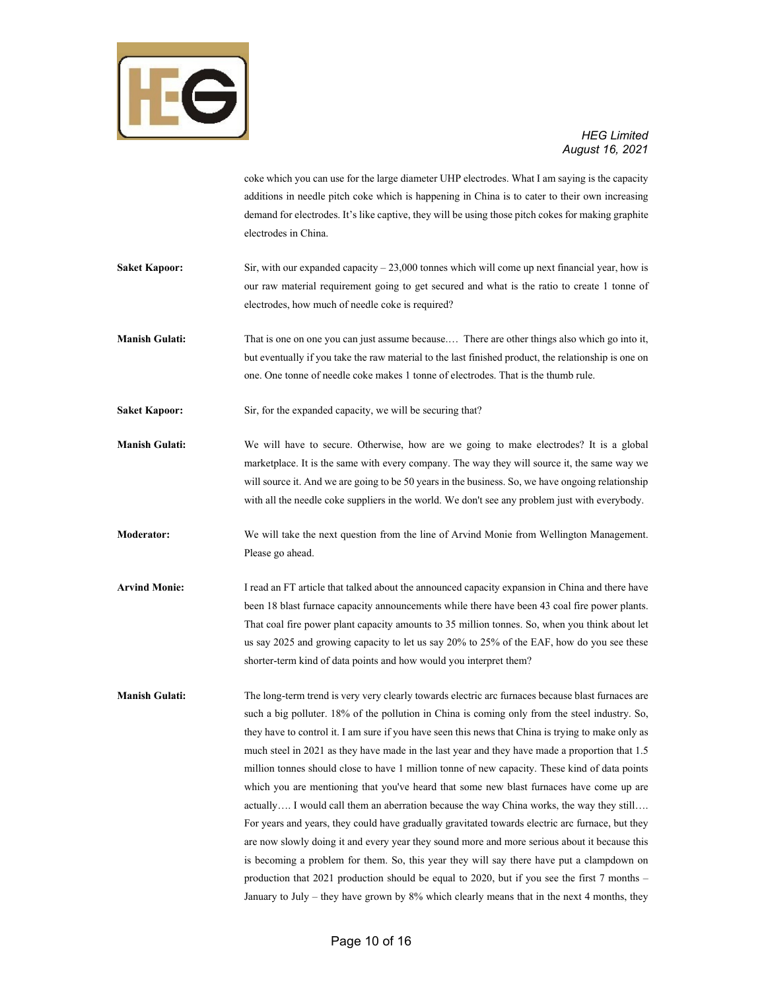

coke which you can use for the large diameter UHP electrodes. What I am saying is the capacity additions in needle pitch coke which is happening in China is to cater to their own increasing demand for electrodes. It's like captive, they will be using those pitch cokes for making graphite electrodes in China.

- **Saket Kapoor:** Sir, with our expanded capacity 23,000 tonnes which will come up next financial year, how is our raw material requirement going to get secured and what is the ratio to create 1 tonne of electrodes, how much of needle coke is required?
- **Manish Gulati:** That is one on one you can just assume because.… There are other things also which go into it, but eventually if you take the raw material to the last finished product, the relationship is one on one. One tonne of needle coke makes 1 tonne of electrodes. That is the thumb rule.

Saket Kapoor: Sir, for the expanded capacity, we will be securing that?

- **Manish Gulati:** We will have to secure. Otherwise, how are we going to make electrodes? It is a global marketplace. It is the same with every company. The way they will source it, the same way we will source it. And we are going to be 50 years in the business. So, we have ongoing relationship with all the needle coke suppliers in the world. We don't see any problem just with everybody.
- **Moderator:** We will take the next question from the line of Arvind Monie from Wellington Management. Please go ahead.
- **Arvind Monie:** I read an FT article that talked about the announced capacity expansion in China and there have been 18 blast furnace capacity announcements while there have been 43 coal fire power plants. That coal fire power plant capacity amounts to 35 million tonnes. So, when you think about let us say 2025 and growing capacity to let us say 20% to 25% of the EAF, how do you see these shorter-term kind of data points and how would you interpret them?
- **Manish Gulati:** The long-term trend is very very clearly towards electric arc furnaces because blast furnaces are such a big polluter. 18% of the pollution in China is coming only from the steel industry. So, they have to control it. I am sure if you have seen this news that China is trying to make only as much steel in 2021 as they have made in the last year and they have made a proportion that 1.5 million tonnes should close to have 1 million tonne of new capacity. These kind of data points which you are mentioning that you've heard that some new blast furnaces have come up are actually…. I would call them an aberration because the way China works, the way they still…. For years and years, they could have gradually gravitated towards electric arc furnace, but they are now slowly doing it and every year they sound more and more serious about it because this is becoming a problem for them. So, this year they will say there have put a clampdown on production that 2021 production should be equal to 2020, but if you see the first 7 months – January to July – they have grown by 8% which clearly means that in the next 4 months, they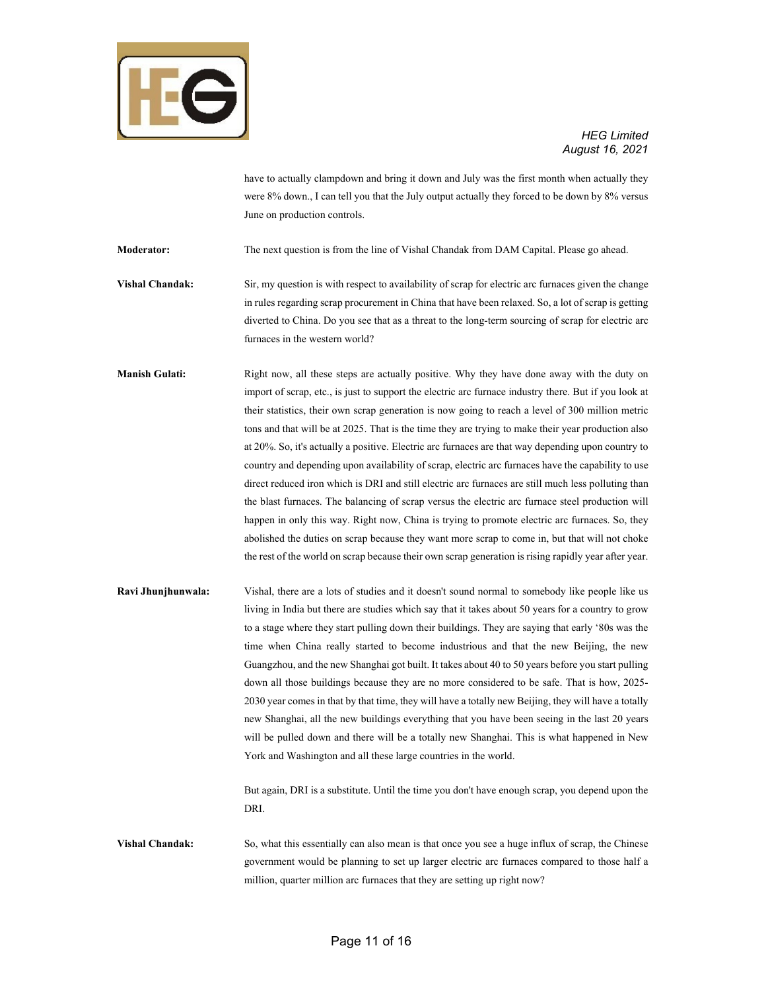

have to actually clampdown and bring it down and July was the first month when actually they were 8% down., I can tell you that the July output actually they forced to be down by 8% versus June on production controls.

**Moderator:** The next question is from the line of Vishal Chandak from DAM Capital. Please go ahead.

**Vishal Chandak:** Sir, my question is with respect to availability of scrap for electric arc furnaces given the change in rules regarding scrap procurement in China that have been relaxed. So, a lot of scrap is getting diverted to China. Do you see that as a threat to the long-term sourcing of scrap for electric arc furnaces in the western world?

**Manish Gulati:** Right now, all these steps are actually positive. Why they have done away with the duty on import of scrap, etc., is just to support the electric arc furnace industry there. But if you look at their statistics, their own scrap generation is now going to reach a level of 300 million metric tons and that will be at 2025. That is the time they are trying to make their year production also at 20%. So, it's actually a positive. Electric arc furnaces are that way depending upon country to country and depending upon availability of scrap, electric arc furnaces have the capability to use direct reduced iron which is DRI and still electric arc furnaces are still much less polluting than the blast furnaces. The balancing of scrap versus the electric arc furnace steel production will happen in only this way. Right now, China is trying to promote electric arc furnaces. So, they abolished the duties on scrap because they want more scrap to come in, but that will not choke the rest of the world on scrap because their own scrap generation is rising rapidly year after year.

**Ravi Jhunjhunwala:** Vishal, there are a lots of studies and it doesn't sound normal to somebody like people like us living in India but there are studies which say that it takes about 50 years for a country to grow to a stage where they start pulling down their buildings. They are saying that early '80s was the time when China really started to become industrious and that the new Beijing, the new Guangzhou, and the new Shanghai got built. It takes about 40 to 50 years before you start pulling down all those buildings because they are no more considered to be safe. That is how, 2025- 2030 year comes in that by that time, they will have a totally new Beijing, they will have a totally new Shanghai, all the new buildings everything that you have been seeing in the last 20 years will be pulled down and there will be a totally new Shanghai. This is what happened in New York and Washington and all these large countries in the world.

> But again, DRI is a substitute. Until the time you don't have enough scrap, you depend upon the DRI.

**Vishal Chandak:** So, what this essentially can also mean is that once you see a huge influx of scrap, the Chinese government would be planning to set up larger electric arc furnaces compared to those half a million, quarter million arc furnaces that they are setting up right now?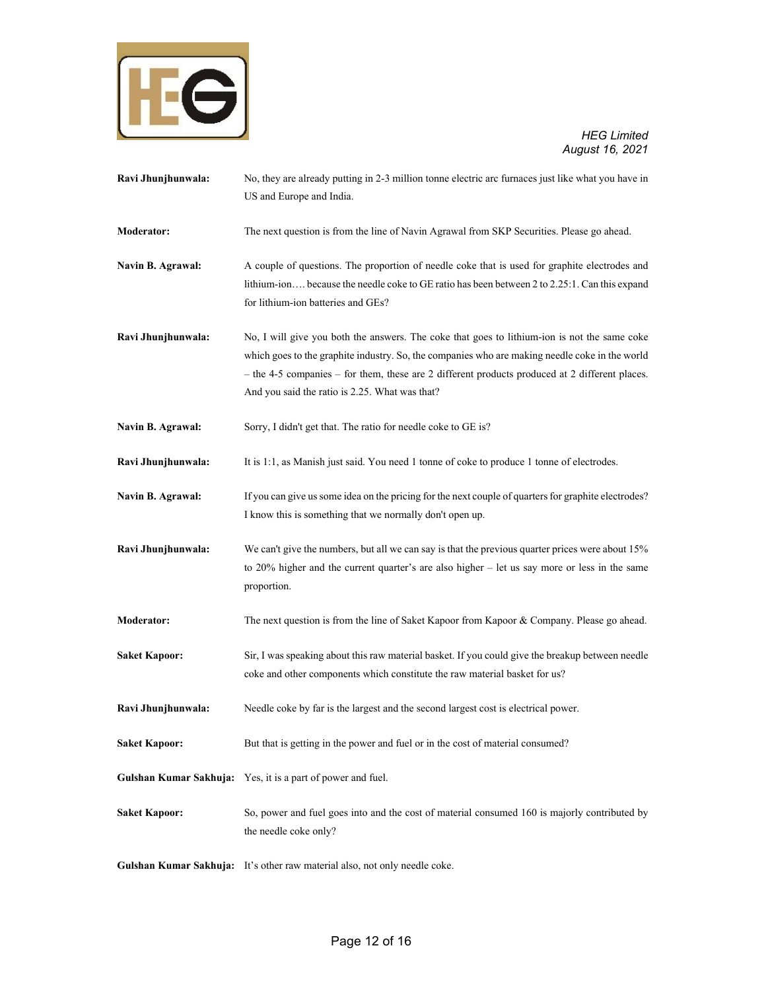

US and Europe and India. **Moderator:** The next question is from the line of Navin Agrawal from SKP Securities. Please go ahead. **Navin B. Agrawal:** A couple of questions. The proportion of needle coke that is used for graphite electrodes and lithium-ion…. because the needle coke to GE ratio has been between 2 to 2.25:1. Can this expand for lithium-ion batteries and GEs? **Ravi Jhunjhunwala:** No, I will give you both the answers. The coke that goes to lithium-ion is not the same coke which goes to the graphite industry. So, the companies who are making needle coke in the world – the 4-5 companies – for them, these are 2 different products produced at 2 different places.

**Ravi Jhunjhunwala:** No, they are already putting in 2-3 million tonne electric arc furnaces just like what you have in

- Navin B. Agrawal: Sorry, I didn't get that. The ratio for needle coke to GE is?
- **Ravi Jhunjhunwala:** It is 1:1, as Manish just said. You need 1 tonne of coke to produce 1 tonne of electrodes.

And you said the ratio is 2.25. What was that?

- Navin B. Agrawal: If you can give us some idea on the pricing for the next couple of quarters for graphite electrodes? I know this is something that we normally don't open up.
- **Ravi Jhunjhunwala:** We can't give the numbers, but all we can say is that the previous quarter prices were about 15% to 20% higher and the current quarter's are also higher – let us say more or less in the same proportion.
- **Moderator:** The next question is from the line of Saket Kapoor from Kapoor & Company. Please go ahead.
- **Saket Kapoor:** Sir, I was speaking about this raw material basket. If you could give the breakup between needle coke and other components which constitute the raw material basket for us?
- **Ravi Jhunjhunwala:** Needle coke by far is the largest and the second largest cost is electrical power.
- **Saket Kapoor:** But that is getting in the power and fuel or in the cost of material consumed?
- **Gulshan Kumar Sakhuja:** Yes, it is a part of power and fuel.
- Saket Kapoor: So, power and fuel goes into and the cost of material consumed 160 is majorly contributed by the needle coke only?
- **Gulshan Kumar Sakhuja:** It's other raw material also, not only needle coke.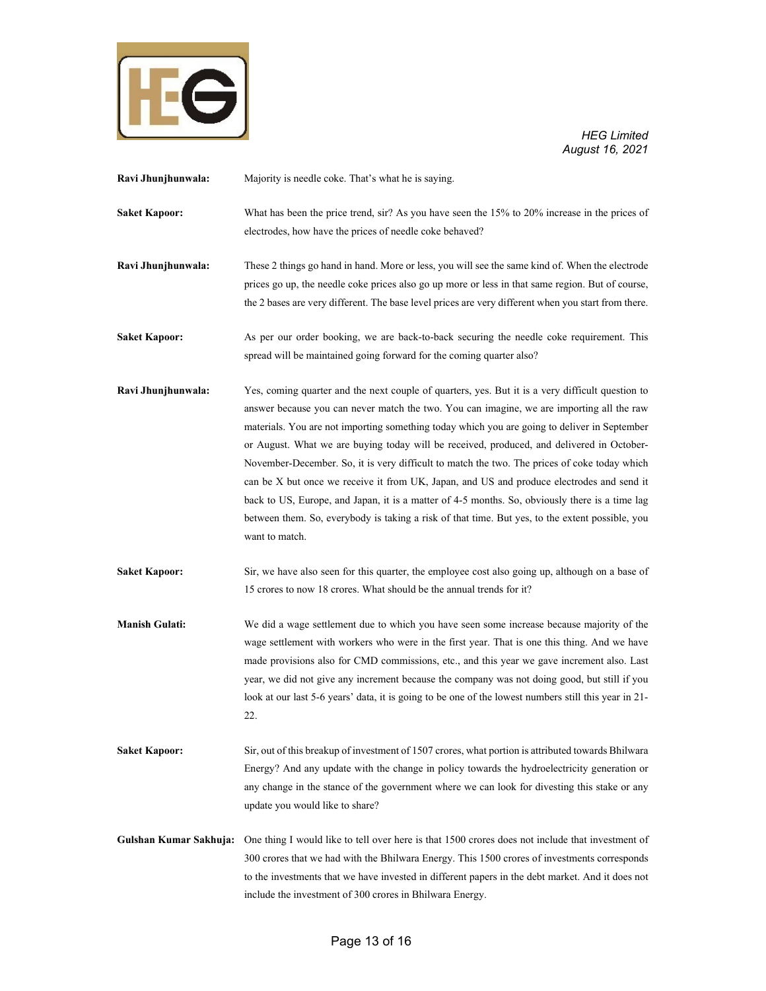

**Ravi Jhunjhunwala:** Majority is needle coke. That's what he is saying.

**Saket Kapoor:** What has been the price trend, sir? As you have seen the 15% to 20% increase in the prices of electrodes, how have the prices of needle coke behaved?

**Ravi Jhunjhunwala:** These 2 things go hand in hand. More or less, you will see the same kind of. When the electrode prices go up, the needle coke prices also go up more or less in that same region. But of course, the 2 bases are very different. The base level prices are very different when you start from there.

**Saket Kapoor:** As per our order booking, we are back-to-back securing the needle coke requirement. This spread will be maintained going forward for the coming quarter also?

**Ravi Jhunjhunwala:** Yes, coming quarter and the next couple of quarters, yes. But it is a very difficult question to answer because you can never match the two. You can imagine, we are importing all the raw materials. You are not importing something today which you are going to deliver in September or August. What we are buying today will be received, produced, and delivered in October-November-December. So, it is very difficult to match the two. The prices of coke today which can be X but once we receive it from UK, Japan, and US and produce electrodes and send it back to US, Europe, and Japan, it is a matter of 4-5 months. So, obviously there is a time lag between them. So, everybody is taking a risk of that time. But yes, to the extent possible, you want to match.

**Saket Kapoor:** Sir, we have also seen for this quarter, the employee cost also going up, although on a base of 15 crores to now 18 crores. What should be the annual trends for it?

**Manish Gulati:** We did a wage settlement due to which you have seen some increase because majority of the wage settlement with workers who were in the first year. That is one this thing. And we have made provisions also for CMD commissions, etc., and this year we gave increment also. Last year, we did not give any increment because the company was not doing good, but still if you look at our last 5-6 years' data, it is going to be one of the lowest numbers still this year in 21- 22.

- **Saket Kapoor:** Sir, out of this breakup of investment of 1507 crores, what portion is attributed towards Bhilwara Energy? And any update with the change in policy towards the hydroelectricity generation or any change in the stance of the government where we can look for divesting this stake or any update you would like to share?
- **Gulshan Kumar Sakhuja:** One thing I would like to tell over here is that 1500 crores does not include that investment of 300 crores that we had with the Bhilwara Energy. This 1500 crores of investments corresponds to the investments that we have invested in different papers in the debt market. And it does not include the investment of 300 crores in Bhilwara Energy.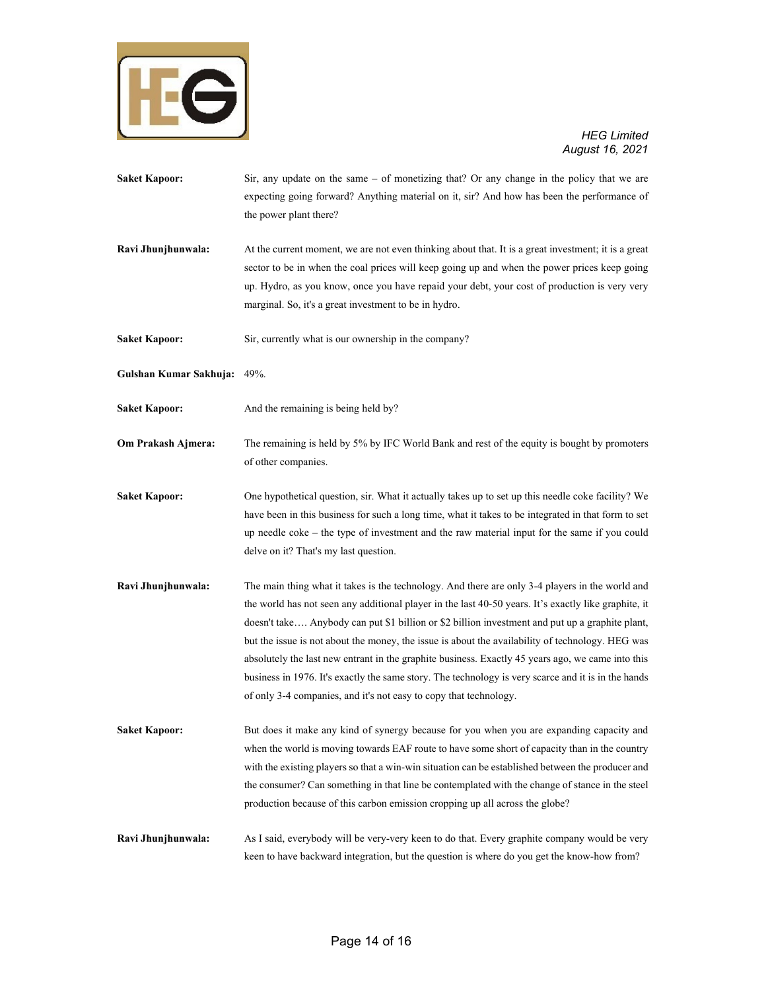

- **Saket Kapoor:** Sir, any update on the same of monetizing that? Or any change in the policy that we are expecting going forward? Anything material on it, sir? And how has been the performance of the power plant there?
- **Ravi Jhunjhunwala:** At the current moment, we are not even thinking about that. It is a great investment; it is a great sector to be in when the coal prices will keep going up and when the power prices keep going up. Hydro, as you know, once you have repaid your debt, your cost of production is very very marginal. So, it's a great investment to be in hydro.
- **Saket Kapoor:** Sir, currently what is our ownership in the company?
- **Gulshan Kumar Sakhuja:** 49%.
- Saket Kapoor: And the remaining is being held by?
- **Om Prakash Ajmera:** The remaining is held by 5% by IFC World Bank and rest of the equity is bought by promoters of other companies.
- **Saket Kapoor:** One hypothetical question, sir. What it actually takes up to set up this needle coke facility? We have been in this business for such a long time, what it takes to be integrated in that form to set up needle coke – the type of investment and the raw material input for the same if you could delve on it? That's my last question.
- **Ravi Jhunjhunwala:** The main thing what it takes is the technology. And there are only 3-4 players in the world and the world has not seen any additional player in the last 40-50 years. It's exactly like graphite, it doesn't take…. Anybody can put \$1 billion or \$2 billion investment and put up a graphite plant, but the issue is not about the money, the issue is about the availability of technology. HEG was absolutely the last new entrant in the graphite business. Exactly 45 years ago, we came into this business in 1976. It's exactly the same story. The technology is very scarce and it is in the hands of only 3-4 companies, and it's not easy to copy that technology.
- **Saket Kapoor:** But does it make any kind of synergy because for you when you are expanding capacity and when the world is moving towards EAF route to have some short of capacity than in the country with the existing players so that a win-win situation can be established between the producer and the consumer? Can something in that line be contemplated with the change of stance in the steel production because of this carbon emission cropping up all across the globe?
- **Ravi Jhunjhunwala:** As I said, everybody will be very-very keen to do that. Every graphite company would be very keen to have backward integration, but the question is where do you get the know-how from?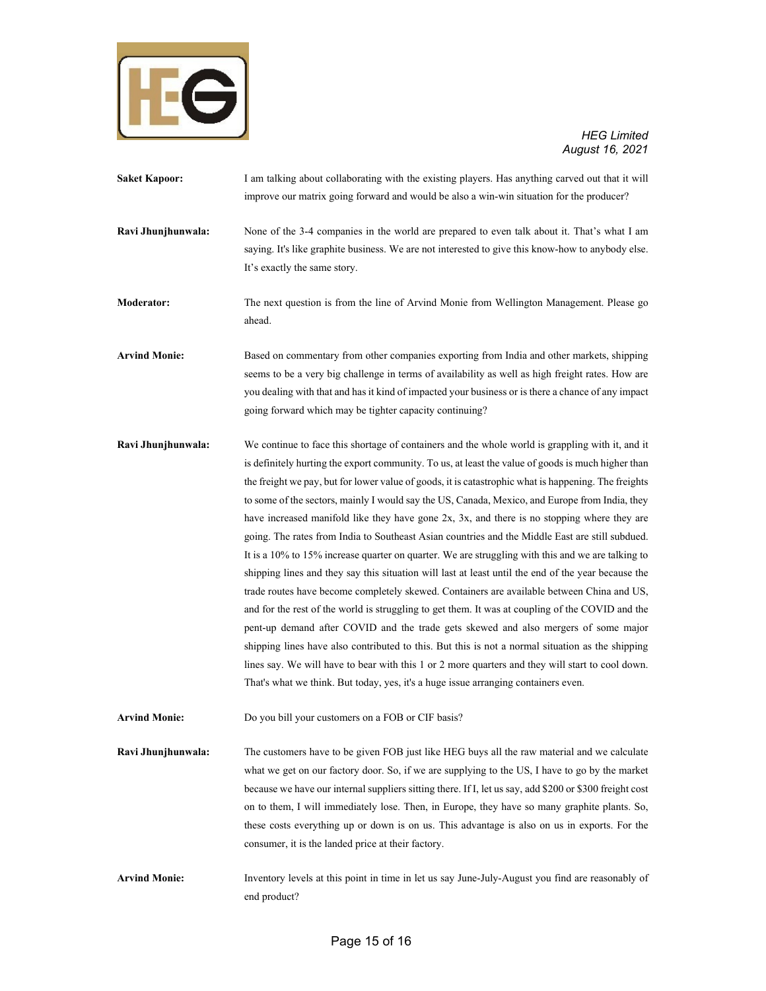

| <b>Saket Kapoor:</b> | I am talking about collaborating with the existing players. Has anything carved out that it will                                                                                                 |
|----------------------|--------------------------------------------------------------------------------------------------------------------------------------------------------------------------------------------------|
|                      | improve our matrix going forward and would be also a win-win situation for the producer?                                                                                                         |
| Ravi Jhunjhunwala:   | None of the 3-4 companies in the world are prepared to even talk about it. That's what I am<br>saying. It's like graphite business. We are not interested to give this know-how to anybody else. |
|                      | It's exactly the same story.                                                                                                                                                                     |
|                      |                                                                                                                                                                                                  |

**Moderator:** The next question is from the line of Arvind Monie from Wellington Management. Please go ahead.

**Arvind Monie:** Based on commentary from other companies exporting from India and other markets, shipping seems to be a very big challenge in terms of availability as well as high freight rates. How are you dealing with that and has it kind of impacted your business or is there a chance of any impact going forward which may be tighter capacity continuing?

**Ravi Jhunjhunwala:** We continue to face this shortage of containers and the whole world is grappling with it, and it is definitely hurting the export community. To us, at least the value of goods is much higher than the freight we pay, but for lower value of goods, it is catastrophic what is happening. The freights to some of the sectors, mainly I would say the US, Canada, Mexico, and Europe from India, they have increased manifold like they have gone 2x, 3x, and there is no stopping where they are going. The rates from India to Southeast Asian countries and the Middle East are still subdued. It is a 10% to 15% increase quarter on quarter. We are struggling with this and we are talking to shipping lines and they say this situation will last at least until the end of the year because the trade routes have become completely skewed. Containers are available between China and US, and for the rest of the world is struggling to get them. It was at coupling of the COVID and the pent-up demand after COVID and the trade gets skewed and also mergers of some major shipping lines have also contributed to this. But this is not a normal situation as the shipping lines say. We will have to bear with this 1 or 2 more quarters and they will start to cool down. That's what we think. But today, yes, it's a huge issue arranging containers even.

**Arvind Monie:** Do you bill your customers on a FOB or CIF basis?

**Ravi Jhunjhunwala:** The customers have to be given FOB just like HEG buys all the raw material and we calculate what we get on our factory door. So, if we are supplying to the US, I have to go by the market because we have our internal suppliers sitting there. If I, let us say, add \$200 or \$300 freight cost on to them, I will immediately lose. Then, in Europe, they have so many graphite plants. So, these costs everything up or down is on us. This advantage is also on us in exports. For the consumer, it is the landed price at their factory.

**Arvind Monie:** Inventory levels at this point in time in let us say June-July-August you find are reasonably of end product?